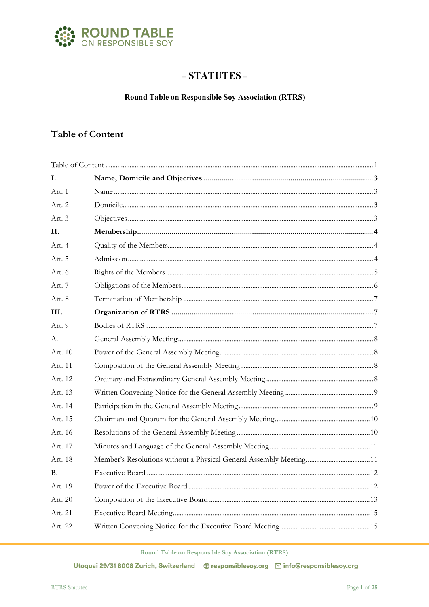

# $-$ STATUTES $-$

## **Round Table on Responsible Soy Association (RTRS)**

# <span id="page-0-0"></span>**Table of Content**

| L.      |                                                                     |  |
|---------|---------------------------------------------------------------------|--|
| Art. 1  |                                                                     |  |
| Art. 2  |                                                                     |  |
| Art. 3  |                                                                     |  |
| H.      |                                                                     |  |
| Art. 4  |                                                                     |  |
| Art. 5  |                                                                     |  |
| Art. 6  |                                                                     |  |
| Art. 7  |                                                                     |  |
| Art. 8  |                                                                     |  |
| III.    |                                                                     |  |
| Art. 9  |                                                                     |  |
| А.      |                                                                     |  |
| Art. 10 |                                                                     |  |
| Art. 11 |                                                                     |  |
| Art. 12 |                                                                     |  |
| Art. 13 |                                                                     |  |
| Art. 14 |                                                                     |  |
| Art. 15 |                                                                     |  |
| Art. 16 |                                                                     |  |
| Art. 17 |                                                                     |  |
| Art. 18 | Member's Resolutions without a Physical General Assembly Meeting 11 |  |
| В.      |                                                                     |  |
| Art. 19 |                                                                     |  |
| Art. 20 |                                                                     |  |
| Art. 21 |                                                                     |  |
| Art. 22 |                                                                     |  |

Round Table on Responsible Soy Association (RTRS)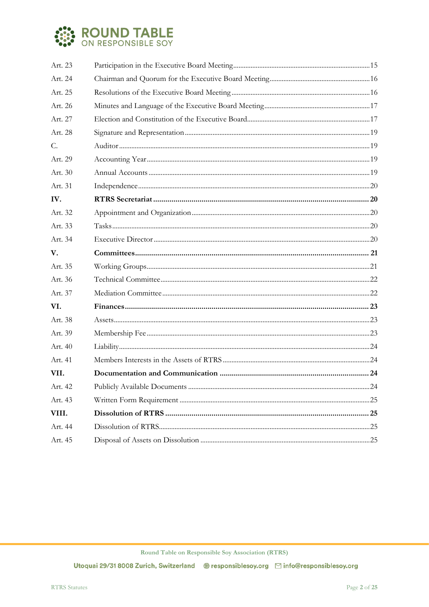

| Art. 23 |  |  |  |
|---------|--|--|--|
| Art. 24 |  |  |  |
| Art. 25 |  |  |  |
| Art. 26 |  |  |  |
| Art. 27 |  |  |  |
| Art. 28 |  |  |  |
| C.      |  |  |  |
| Art. 29 |  |  |  |
| Art. 30 |  |  |  |
| Art. 31 |  |  |  |
| IV.     |  |  |  |
| Art. 32 |  |  |  |
| Art. 33 |  |  |  |
| Art. 34 |  |  |  |
| V.      |  |  |  |
| Art. 35 |  |  |  |
| Art. 36 |  |  |  |
| Art. 37 |  |  |  |
| VI.     |  |  |  |
| Art. 38 |  |  |  |
| Art. 39 |  |  |  |
| Art. 40 |  |  |  |
| Art. 41 |  |  |  |
| VII.    |  |  |  |
| Art. 42 |  |  |  |
| Art. 43 |  |  |  |
| VIII.   |  |  |  |
| Art. 44 |  |  |  |
| Art. 45 |  |  |  |

Round Table on Responsible Soy Association (RTRS)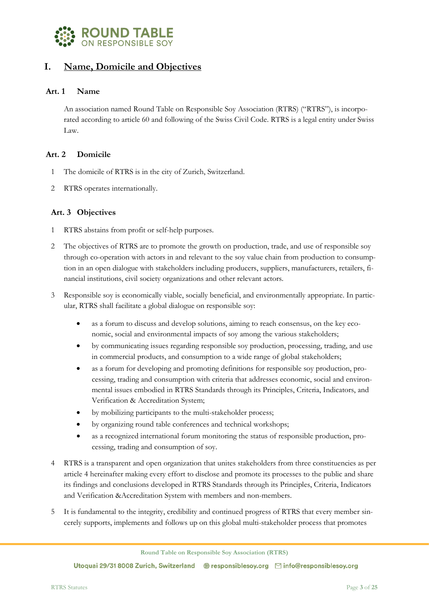

## <span id="page-2-0"></span>**I. Name, Domicile and Objectives**

#### <span id="page-2-1"></span>**Art. 1 Name**

An association named Round Table on Responsible Soy Association (RTRS) ("RTRS"), is incorporated according to article 60 and following of the Swiss Civil Code. RTRS is a legal entity under Swiss Law.

## <span id="page-2-2"></span>**Art. 2 Domicile**

- 1 The domicile of RTRS is in the city of Zurich, Switzerland.
- <span id="page-2-3"></span>2 RTRS operates internationally.

#### **Art. 3 Objectives**

- 1 RTRS abstains from profit or self-help purposes.
- 2 The objectives of RTRS are to promote the growth on production, trade, and use of responsible soy through co-operation with actors in and relevant to the soy value chain from production to consumption in an open dialogue with stakeholders including producers, suppliers, manufacturers, retailers, financial institutions, civil society organizations and other relevant actors.
- 3 Responsible soy is economically viable, socially beneficial, and environmentally appropriate. In particular, RTRS shall facilitate a global dialogue on responsible soy:
	- as a forum to discuss and develop solutions, aiming to reach consensus, on the key economic, social and environmental impacts of soy among the various stakeholders;
	- by communicating issues regarding responsible soy production, processing, trading, and use in commercial products, and consumption to a wide range of global stakeholders;
	- as a forum for developing and promoting definitions for responsible soy production, processing, trading and consumption with criteria that addresses economic, social and environmental issues embodied in RTRS Standards through its Principles, Criteria, Indicators, and Verification & Accreditation System;
	- by mobilizing participants to the multi-stakeholder process;
	- by organizing round table conferences and technical workshops;
	- as a recognized international forum monitoring the status of responsible production, processing, trading and consumption of soy.
- 4 RTRS is a transparent and open organization that unites stakeholders from three constituencies as per article 4 hereinafter making every effort to disclose and promote its processes to the public and share its findings and conclusions developed in RTRS Standards through its Principles, Criteria, Indicators and Verification &Accreditation System with members and non-members.
- It is fundamental to the integrity, credibility and continued progress of RTRS that every member sincerely supports, implements and follows up on this global multi-stakeholder process that promotes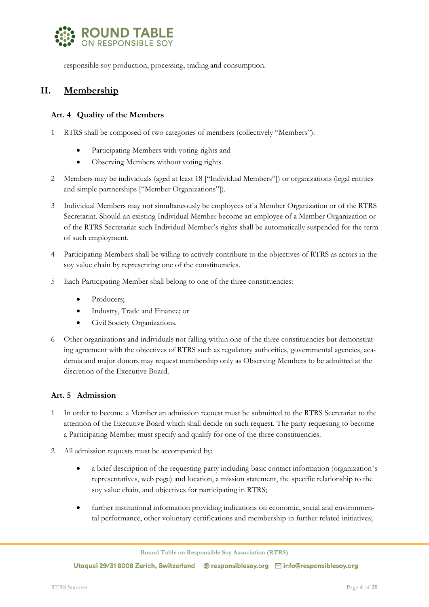

responsible soy production, processing, trading and consumption.

# <span id="page-3-0"></span>**II. Membership**

#### <span id="page-3-1"></span>**Art. 4 Quality of the Members**

- 1 RTRS shall be composed of two categories of members (collectively "Members"):
	- Participating Members with voting rights and
	- Observing Members without voting rights.
- 2 Members may be individuals (aged at least 18 ["Individual Members"]) or organizations (legal entities and simple partnerships ["Member Organizations"]).
- 3 Individual Members may not simultaneously be employees of a Member Organization or of the RTRS Secretariat. Should an existing Individual Member become an employee of a Member Organization or of the RTRS Secretariat such Individual Member's rights shall be automatically suspended for the term of such employment.
- 4 Participating Members shall be willing to actively contribute to the objectives of RTRS as actors in the soy value chain by representing one of the constituencies.
- 5 Each Participating Member shall belong to one of the three constituencies:
	- Producers;
	- Industry, Trade and Finance; or
	- Civil Society Organizations.
- 6 Other organizations and individuals not falling within one of the three constituencies but demonstrating agreement with the objectives of RTRS such as regulatory authorities, governmental agencies, academia and major donors may request membership only as Observing Members to be admitted at the discretion of the Executive Board.

#### <span id="page-3-2"></span>**Art. 5 Admission**

- 1 In order to become a Member an admission request must be submitted to the RTRS Secretariat to the attention of the Executive Board which shall decide on such request. The party requesting to become a Participating Member must specify and qualify for one of the three constituencies.
- 2 All admission requests must be accompanied by:
	- a brief description of the requesting party including basic contact information (organization's representatives, web page) and location, a mission statement, the specific relationship to the soy value chain, and objectives for participating in RTRS;
	- further institutional information providing indications on economic, social and environmental performance, other voluntary certifications and membership in further related initiatives;

**Round Table on Responsible Soy Association (RTRS)**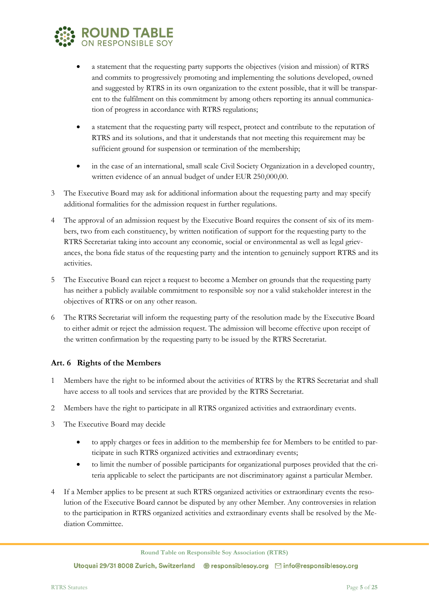

- a statement that the requesting party supports the objectives (vision and mission) of RTRS and commits to progressively promoting and implementing the solutions developed, owned and suggested by RTRS in its own organization to the extent possible, that it will be transparent to the fulfilment on this commitment by among others reporting its annual communication of progress in accordance with RTRS regulations;
- a statement that the requesting party will respect, protect and contribute to the reputation of RTRS and its solutions, and that it understands that not meeting this requirement may be sufficient ground for suspension or termination of the membership;
- in the case of an international, small scale Civil Society Organization in a developed country, written evidence of an annual budget of under EUR 250,000,00.
- 3 The Executive Board may ask for additional information about the requesting party and may specify additional formalities for the admission request in further regulations.
- 4 The approval of an admission request by the Executive Board requires the consent of six of its members, two from each constituency, by written notification of support for the requesting party to the RTRS Secretariat taking into account any economic, social or environmental as well as legal grievances, the bona fide status of the requesting party and the intention to genuinely support RTRS and its activities.
- 5 The Executive Board can reject a request to become a Member on grounds that the requesting party has neither a publicly available commitment to responsible soy nor a valid stakeholder interest in the objectives of RTRS or on any other reason.
- 6 The RTRS Secretariat will inform the requesting party of the resolution made by the Executive Board to either admit or reject the admission request. The admission will become effective upon receipt of the written confirmation by the requesting party to be issued by the RTRS Secretariat.

## <span id="page-4-0"></span>**Art. 6 Rights of the Members**

- 1 Members have the right to be informed about the activities of RTRS by the RTRS Secretariat and shall have access to all tools and services that are provided by the RTRS Secretariat.
- 2 Members have the right to participate in all RTRS organized activities and extraordinary events.
- 3 The Executive Board may decide
	- to apply charges or fees in addition to the membership fee for Members to be entitled to participate in such RTRS organized activities and extraordinary events;
	- to limit the number of possible participants for organizational purposes provided that the criteria applicable to select the participants are not discriminatory against a particular Member.
- If a Member applies to be present at such RTRS organized activities or extraordinary events the resolution of the Executive Board cannot be disputed by any other Member. Any controversies in relation to the participation in RTRS organized activities and extraordinary events shall be resolved by the Mediation Committee.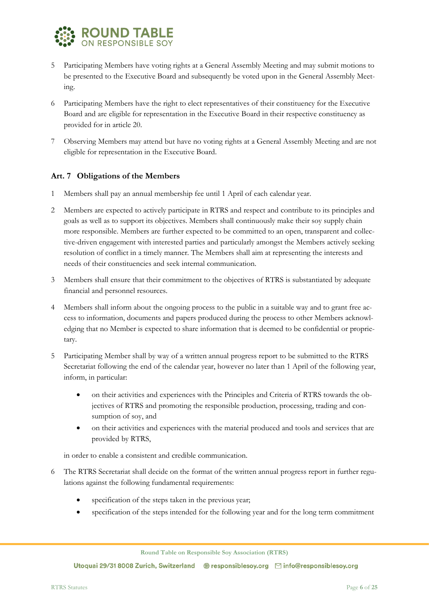

- 5 Participating Members have voting rights at a General Assembly Meeting and may submit motions to be presented to the Executive Board and subsequently be voted upon in the General Assembly Meeting.
- 6 Participating Members have the right to elect representatives of their constituency for the Executive Board and are eligible for representation in the Executive Board in their respective constituency as provided for in article 20.
- 7 Observing Members may attend but have no voting rights at a General Assembly Meeting and are not eligible for representation in the Executive Board.

## <span id="page-5-0"></span>**Art. 7 Obligations of the Members**

- 1 Members shall pay an annual membership fee until 1 April of each calendar year.
- 2 Members are expected to actively participate in RTRS and respect and contribute to its principles and goals as well as to support its objectives. Members shall continuously make their soy supply chain more responsible. Members are further expected to be committed to an open, transparent and collective-driven engagement with interested parties and particularly amongst the Members actively seeking resolution of conflict in a timely manner. The Members shall aim at representing the interests and needs of their constituencies and seek internal communication.
- 3 Members shall ensure that their commitment to the objectives of RTRS is substantiated by adequate financial and personnel resources.
- 4 Members shall inform about the ongoing process to the public in a suitable way and to grant free access to information, documents and papers produced during the process to other Members acknowledging that no Member is expected to share information that is deemed to be confidential or proprietary.
- 5 Participating Member shall by way of a written annual progress report to be submitted to the RTRS Secretariat following the end of the calendar year, however no later than 1 April of the following year, inform, in particular:
	- on their activities and experiences with the Principles and Criteria of RTRS towards the objectives of RTRS and promoting the responsible production, processing, trading and consumption of soy, and
	- on their activities and experiences with the material produced and tools and services that are provided by RTRS,

in order to enable a consistent and credible communication.

- 6 The RTRS Secretariat shall decide on the format of the written annual progress report in further regulations against the following fundamental requirements:
	- specification of the steps taken in the previous year;
	- specification of the steps intended for the following year and for the long term commitment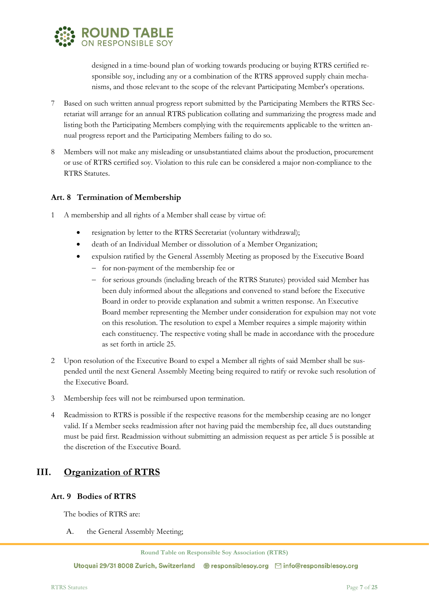

designed in a time-bound plan of working towards producing or buying RTRS certified responsible soy, including any or a combination of the RTRS approved supply chain mechanisms, and those relevant to the scope of the relevant Participating Member's operations.

- 7 Based on such written annual progress report submitted by the Participating Members the RTRS Secretariat will arrange for an annual RTRS publication collating and summarizing the progress made and listing both the Participating Members complying with the requirements applicable to the written annual progress report and the Participating Members failing to do so.
- 8 Members will not make any misleading or unsubstantiated claims about the production, procurement or use of RTRS certified soy. Violation to this rule can be considered a major non-compliance to the RTRS Statutes.

## <span id="page-6-0"></span>**Art. 8 Termination of Membership**

- 1 A membership and all rights of a Member shall cease by virtue of:
	- resignation by letter to the RTRS Secretariat (voluntary withdrawal);
	- death of an Individual Member or dissolution of a Member Organization;
	- expulsion ratified by the General Assembly Meeting as proposed by the Executive Board
		- − for non-payment of the membership fee or
		- − for serious grounds (including breach of the RTRS Statutes) provided said Member has been duly informed about the allegations and convened to stand before the Executive Board in order to provide explanation and submit a written response. An Executive Board member representing the Member under consideration for expulsion may not vote on this resolution. The resolution to expel a Member requires a simple majority within each constituency. The respective voting shall be made in accordance with the procedure as set forth in article 25.
- 2 Upon resolution of the Executive Board to expel a Member all rights of said Member shall be suspended until the next General Assembly Meeting being required to ratify or revoke such resolution of the Executive Board.
- 3 Membership fees will not be reimbursed upon termination.
- 4 Readmission to RTRS is possible if the respective reasons for the membership ceasing are no longer valid. If a Member seeks readmission after not having paid the membership fee, all dues outstanding must be paid first. Readmission without submitting an admission request as per article 5 is possible at the discretion of the Executive Board.

## <span id="page-6-1"></span>**III. Organization of RTRS**

## <span id="page-6-2"></span>**Art. 9 Bodies of RTRS**

The bodies of RTRS are:

A. the General Assembly Meeting;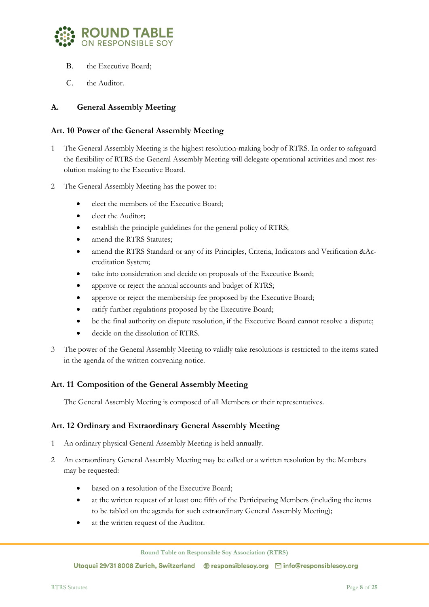

- B. the Executive Board;
- C. the Auditor.

## <span id="page-7-0"></span>**A. General Assembly Meeting**

#### <span id="page-7-1"></span>**Art. 10 Power of the General Assembly Meeting**

- 1 The General Assembly Meeting is the highest resolution-making body of RTRS. In order to safeguard the flexibility of RTRS the General Assembly Meeting will delegate operational activities and most resolution making to the Executive Board.
- 2 The General Assembly Meeting has the power to:
	- elect the members of the Executive Board;
	- elect the Auditor;
	- establish the principle guidelines for the general policy of RTRS;
	- amend the RTRS Statutes;
	- amend the RTRS Standard or any of its Principles, Criteria, Indicators and Verification &Accreditation System;
	- take into consideration and decide on proposals of the Executive Board;
	- approve or reject the annual accounts and budget of RTRS;
	- approve or reject the membership fee proposed by the Executive Board;
	- ratify further regulations proposed by the Executive Board;
	- be the final authority on dispute resolution, if the Executive Board cannot resolve a dispute;
	- decide on the dissolution of RTRS.
- 3 The power of the General Assembly Meeting to validly take resolutions is restricted to the items stated in the agenda of the written convening notice.

## <span id="page-7-2"></span>**Art. 11 Composition of the General Assembly Meeting**

The General Assembly Meeting is composed of all Members or their representatives.

#### <span id="page-7-3"></span>**Art. 12 Ordinary and Extraordinary General Assembly Meeting**

- 1 An ordinary physical General Assembly Meeting is held annually.
- 2 An extraordinary General Assembly Meeting may be called or a written resolution by the Members may be requested:
	- based on a resolution of the Executive Board:
	- at the written request of at least one fifth of the Participating Members (including the items to be tabled on the agenda for such extraordinary General Assembly Meeting);
	- at the written request of the Auditor.

**Round Table on Responsible Soy Association (RTRS)**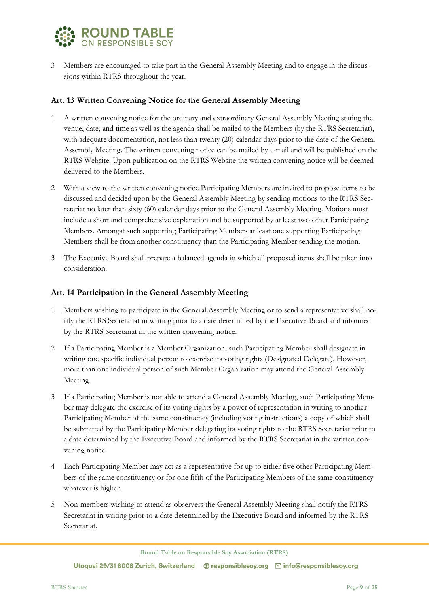

3 Members are encouraged to take part in the General Assembly Meeting and to engage in the discussions within RTRS throughout the year.

#### <span id="page-8-0"></span>**Art. 13 Written Convening Notice for the General Assembly Meeting**

- 1 A written convening notice for the ordinary and extraordinary General Assembly Meeting stating the venue, date, and time as well as the agenda shall be mailed to the Members (by the RTRS Secretariat), with adequate documentation, not less than twenty (20) calendar days prior to the date of the General Assembly Meeting. The written convening notice can be mailed by e-mail and will be published on the RTRS Website. Upon publication on the RTRS Website the written convening notice will be deemed delivered to the Members.
- 2 With a view to the written convening notice Participating Members are invited to propose items to be discussed and decided upon by the General Assembly Meeting by sending motions to the RTRS Secretariat no later than sixty (60) calendar days prior to the General Assembly Meeting. Motions must include a short and comprehensive explanation and be supported by at least two other Participating Members. Amongst such supporting Participating Members at least one supporting Participating Members shall be from another constituency than the Participating Member sending the motion.
- 3 The Executive Board shall prepare a balanced agenda in which all proposed items shall be taken into consideration.

#### <span id="page-8-1"></span>**Art. 14 Participation in the General Assembly Meeting**

- 1 Members wishing to participate in the General Assembly Meeting or to send a representative shall notify the RTRS Secretariat in writing prior to a date determined by the Executive Board and informed by the RTRS Secretariat in the written convening notice.
- 2 If a Participating Member is a Member Organization, such Participating Member shall designate in writing one specific individual person to exercise its voting rights (Designated Delegate). However, more than one individual person of such Member Organization may attend the General Assembly Meeting.
- 3 If a Participating Member is not able to attend a General Assembly Meeting, such Participating Member may delegate the exercise of its voting rights by a power of representation in writing to another Participating Member of the same constituency (including voting instructions) a copy of which shall be submitted by the Participating Member delegating its voting rights to the RTRS Secretariat prior to a date determined by the Executive Board and informed by the RTRS Secretariat in the written convening notice.
- 4 Each Participating Member may act as a representative for up to either five other Participating Members of the same constituency or for one fifth of the Participating Members of the same constituency whatever is higher.
- 5 Non-members wishing to attend as observers the General Assembly Meeting shall notify the RTRS Secretariat in writing prior to a date determined by the Executive Board and informed by the RTRS Secretariat.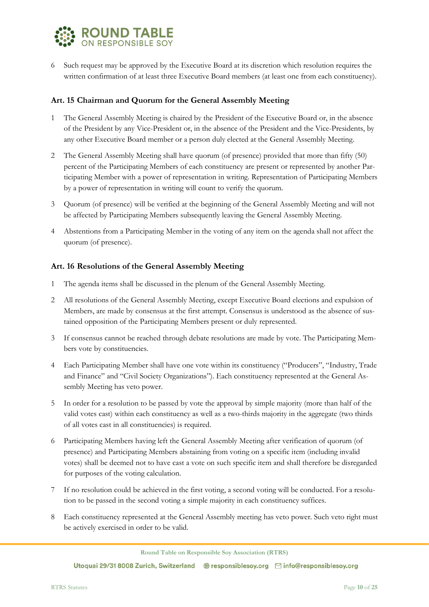

6 Such request may be approved by the Executive Board at its discretion which resolution requires the written confirmation of at least three Executive Board members (at least one from each constituency).

#### <span id="page-9-0"></span>**Art. 15 Chairman and Quorum for the General Assembly Meeting**

- 1 The General Assembly Meeting is chaired by the President of the Executive Board or, in the absence of the President by any Vice-President or, in the absence of the President and the Vice-Presidents, by any other Executive Board member or a person duly elected at the General Assembly Meeting.
- 2 The General Assembly Meeting shall have quorum (of presence) provided that more than fifty (50) percent of the Participating Members of each constituency are present or represented by another Participating Member with a power of representation in writing. Representation of Participating Members by a power of representation in writing will count to verify the quorum.
- 3 Quorum (of presence) will be verified at the beginning of the General Assembly Meeting and will not be affected by Participating Members subsequently leaving the General Assembly Meeting.
- 4 Abstentions from a Participating Member in the voting of any item on the agenda shall not affect the quorum (of presence).

#### <span id="page-9-1"></span>**Art. 16 Resolutions of the General Assembly Meeting**

- 1 The agenda items shall be discussed in the plenum of the General Assembly Meeting.
- 2 All resolutions of the General Assembly Meeting, except Executive Board elections and expulsion of Members, are made by consensus at the first attempt. Consensus is understood as the absence of sustained opposition of the Participating Members present or duly represented.
- 3 If consensus cannot be reached through debate resolutions are made by vote. The Participating Members vote by constituencies.
- 4 Each Participating Member shall have one vote within its constituency ("Producers", "Industry, Trade and Finance" and "Civil Society Organizations"). Each constituency represented at the General Assembly Meeting has veto power.
- 5 In order for a resolution to be passed by vote the approval by simple majority (more than half of the valid votes cast) within each constituency as well as a two-thirds majority in the aggregate (two thirds of all votes cast in all constituencies) is required.
- 6 Participating Members having left the General Assembly Meeting after verification of quorum (of presence) and Participating Members abstaining from voting on a specific item (including invalid votes) shall be deemed not to have cast a vote on such specific item and shall therefore be disregarded for purposes of the voting calculation.
- 7 If no resolution could be achieved in the first voting, a second voting will be conducted. For a resolution to be passed in the second voting a simple majority in each constituency suffices.
- 8 Each constituency represented at the General Assembly meeting has veto power. Such veto right must be actively exercised in order to be valid.

**Round Table on Responsible Soy Association (RTRS)**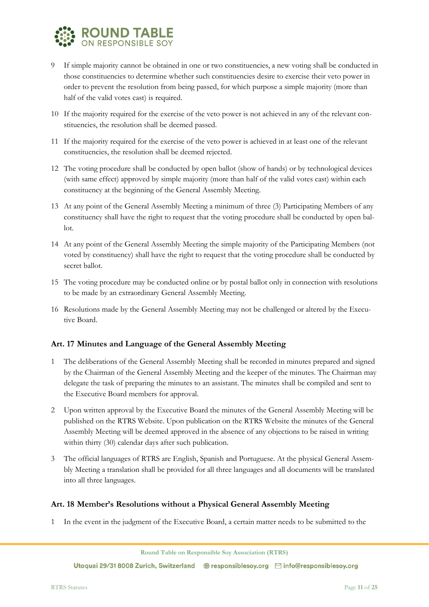

- 9 If simple majority cannot be obtained in one or two constituencies, a new voting shall be conducted in those constituencies to determine whether such constituencies desire to exercise their veto power in order to prevent the resolution from being passed, for which purpose a simple majority (more than half of the valid votes cast) is required.
- 10 If the majority required for the exercise of the veto power is not achieved in any of the relevant constituencies, the resolution shall be deemed passed.
- 11 If the majority required for the exercise of the veto power is achieved in at least one of the relevant constituencies, the resolution shall be deemed rejected.
- 12 The voting procedure shall be conducted by open ballot (show of hands) or by technological devices (with same effect) approved by simple majority (more than half of the valid votes cast) within each constituency at the beginning of the General Assembly Meeting.
- 13 At any point of the General Assembly Meeting a minimum of three (3) Participating Members of any constituency shall have the right to request that the voting procedure shall be conducted by open ballot.
- 14 At any point of the General Assembly Meeting the simple majority of the Participating Members (not voted by constituency) shall have the right to request that the voting procedure shall be conducted by secret ballot.
- 15 The voting procedure may be conducted online or by postal ballot only in connection with resolutions to be made by an extraordinary General Assembly Meeting.
- 16 Resolutions made by the General Assembly Meeting may not be challenged or altered by the Executive Board.

## <span id="page-10-0"></span>**Art. 17 Minutes and Language of the General Assembly Meeting**

- 1 The deliberations of the General Assembly Meeting shall be recorded in minutes prepared and signed by the Chairman of the General Assembly Meeting and the keeper of the minutes. The Chairman may delegate the task of preparing the minutes to an assistant. The minutes shall be compiled and sent to the Executive Board members for approval.
- 2 Upon written approval by the Executive Board the minutes of the General Assembly Meeting will be published on the RTRS Website. Upon publication on the RTRS Website the minutes of the General Assembly Meeting will be deemed approved in the absence of any objections to be raised in writing within thirty (30) calendar days after such publication.
- 3 The official languages of RTRS are English, Spanish and Portuguese. At the physical General Assembly Meeting a translation shall be provided for all three languages and all documents will be translated into all three languages.

#### <span id="page-10-1"></span>**Art. 18 Member's Resolutions without a Physical General Assembly Meeting**

1 In the event in the judgment of the Executive Board, a certain matter needs to be submitted to the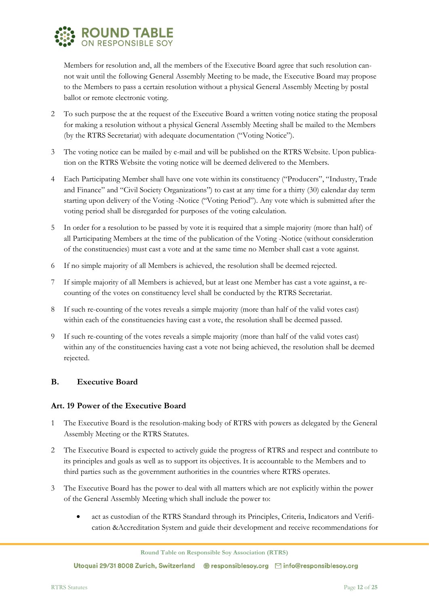

Members for resolution and, all the members of the Executive Board agree that such resolution cannot wait until the following General Assembly Meeting to be made, the Executive Board may propose to the Members to pass a certain resolution without a physical General Assembly Meeting by postal ballot or remote electronic voting.

- 2 To such purpose the at the request of the Executive Board a written voting notice stating the proposal for making a resolution without a physical General Assembly Meeting shall be mailed to the Members (by the RTRS Secretariat) with adequate documentation ("Voting Notice").
- 3 The voting notice can be mailed by e-mail and will be published on the RTRS Website. Upon publication on the RTRS Website the voting notice will be deemed delivered to the Members.
- 4 Each Participating Member shall have one vote within its constituency ("Producers", "Industry, Trade and Finance" and "Civil Society Organizations") to cast at any time for a thirty (30) calendar day term starting upon delivery of the Voting -Notice ("Voting Period"). Any vote which is submitted after the voting period shall be disregarded for purposes of the voting calculation.
- 5 In order for a resolution to be passed by vote it is required that a simple majority (more than half) of all Participating Members at the time of the publication of the Voting -Notice (without consideration of the constituencies) must cast a vote and at the same time no Member shall cast a vote against.
- 6 If no simple majority of all Members is achieved, the resolution shall be deemed rejected.
- 7 If simple majority of all Members is achieved, but at least one Member has cast a vote against, a recounting of the votes on constituency level shall be conducted by the RTRS Secretariat.
- 8 If such re-counting of the votes reveals a simple majority (more than half of the valid votes cast) within each of the constituencies having cast a vote, the resolution shall be deemed passed.
- 9 If such re-counting of the votes reveals a simple majority (more than half of the valid votes cast) within any of the constituencies having cast a vote not being achieved, the resolution shall be deemed rejected.

## <span id="page-11-0"></span>**B. Executive Board**

#### <span id="page-11-1"></span>**Art. 19 Power of the Executive Board**

- 1 The Executive Board is the resolution-making body of RTRS with powers as delegated by the General Assembly Meeting or the RTRS Statutes.
- 2 The Executive Board is expected to actively guide the progress of RTRS and respect and contribute to its principles and goals as well as to support its objectives. It is accountable to the Members and to third parties such as the government authorities in the countries where RTRS operates.
- 3 The Executive Board has the power to deal with all matters which are not explicitly within the power of the General Assembly Meeting which shall include the power to:
	- act as custodian of the RTRS Standard through its Principles, Criteria, Indicators and Verification &Accreditation System and guide their development and receive recommendations for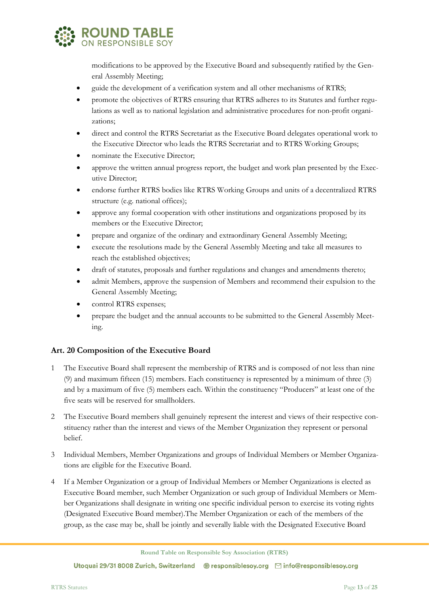

modifications to be approved by the Executive Board and subsequently ratified by the General Assembly Meeting;

- guide the development of a verification system and all other mechanisms of RTRS;
- promote the objectives of RTRS ensuring that RTRS adheres to its Statutes and further regulations as well as to national legislation and administrative procedures for non-profit organizations;
- direct and control the RTRS Secretariat as the Executive Board delegates operational work to the Executive Director who leads the RTRS Secretariat and to RTRS Working Groups;
- nominate the Executive Director;
- approve the written annual progress report, the budget and work plan presented by the Executive Director;
- endorse further RTRS bodies like RTRS Working Groups and units of a decentralized RTRS structure (e.g. national offices);
- approve any formal cooperation with other institutions and organizations proposed by its members or the Executive Director;
- prepare and organize of the ordinary and extraordinary General Assembly Meeting;
- execute the resolutions made by the General Assembly Meeting and take all measures to reach the established objectives;
- draft of statutes, proposals and further regulations and changes and amendments thereto;
- admit Members, approve the suspension of Members and recommend their expulsion to the General Assembly Meeting;
- control RTRS expenses;
- prepare the budget and the annual accounts to be submitted to the General Assembly Meeting.

## <span id="page-12-0"></span>**Art. 20 Composition of the Executive Board**

- 1 The Executive Board shall represent the membership of RTRS and is composed of not less than nine (9) and maximum fifteen (15) members. Each constituency is represented by a minimum of three (3) and by a maximum of five (5) members each. Within the constituency "Producers" at least one of the five seats will be reserved for smallholders.
- 2 The Executive Board members shall genuinely represent the interest and views of their respective constituency rather than the interest and views of the Member Organization they represent or personal belief.
- 3 Individual Members, Member Organizations and groups of Individual Members or Member Organizations are eligible for the Executive Board.
- 4 If a Member Organization or a group of Individual Members or Member Organizations is elected as Executive Board member, such Member Organization or such group of Individual Members or Member Organizations shall designate in writing one specific individual person to exercise its voting rights (Designated Executive Board member).The Member Organization or each of the members of the group, as the case may be, shall be jointly and severally liable with the Designated Executive Board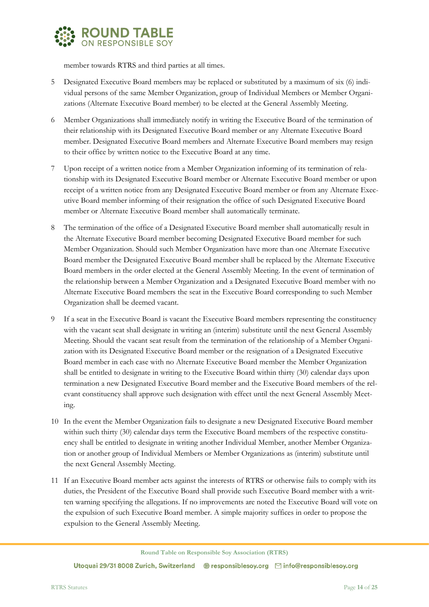

member towards RTRS and third parties at all times.

- 5 Designated Executive Board members may be replaced or substituted by a maximum of six (6) individual persons of the same Member Organization, group of Individual Members or Member Organizations (Alternate Executive Board member) to be elected at the General Assembly Meeting.
- 6 Member Organizations shall immediately notify in writing the Executive Board of the termination of their relationship with its Designated Executive Board member or any Alternate Executive Board member. Designated Executive Board members and Alternate Executive Board members may resign to their office by written notice to the Executive Board at any time.
- 7 Upon receipt of a written notice from a Member Organization informing of its termination of relationship with its Designated Executive Board member or Alternate Executive Board member or upon receipt of a written notice from any Designated Executive Board member or from any Alternate Executive Board member informing of their resignation the office of such Designated Executive Board member or Alternate Executive Board member shall automatically terminate.
- 8 The termination of the office of a Designated Executive Board member shall automatically result in the Alternate Executive Board member becoming Designated Executive Board member for such Member Organization. Should such Member Organization have more than one Alternate Executive Board member the Designated Executive Board member shall be replaced by the Alternate Executive Board members in the order elected at the General Assembly Meeting. In the event of termination of the relationship between a Member Organization and a Designated Executive Board member with no Alternate Executive Board members the seat in the Executive Board corresponding to such Member Organization shall be deemed vacant.
- 9 If a seat in the Executive Board is vacant the Executive Board members representing the constituency with the vacant seat shall designate in writing an (interim) substitute until the next General Assembly Meeting. Should the vacant seat result from the termination of the relationship of a Member Organization with its Designated Executive Board member or the resignation of a Designated Executive Board member in each case with no Alternate Executive Board member the Member Organization shall be entitled to designate in writing to the Executive Board within thirty (30) calendar days upon termination a new Designated Executive Board member and the Executive Board members of the relevant constituency shall approve such designation with effect until the next General Assembly Meeting.
- 10 In the event the Member Organization fails to designate a new Designated Executive Board member within such thirty (30) calendar days term the Executive Board members of the respective constituency shall be entitled to designate in writing another Individual Member, another Member Organization or another group of Individual Members or Member Organizations as (interim) substitute until the next General Assembly Meeting.
- 11 If an Executive Board member acts against the interests of RTRS or otherwise fails to comply with its duties, the President of the Executive Board shall provide such Executive Board member with a written warning specifying the allegations. If no improvements are noted the Executive Board will vote on the expulsion of such Executive Board member. A simple majority suffices in order to propose the expulsion to the General Assembly Meeting.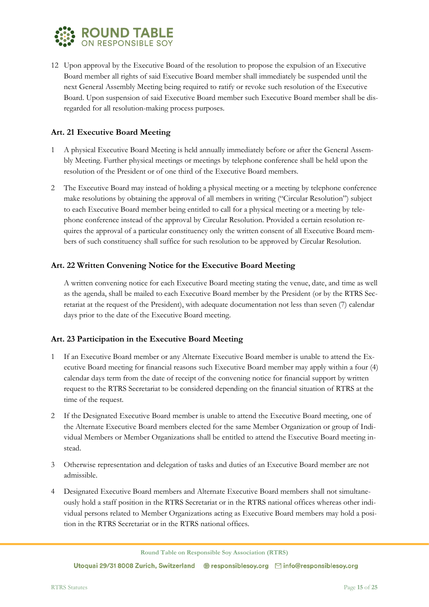

12 Upon approval by the Executive Board of the resolution to propose the expulsion of an Executive Board member all rights of said Executive Board member shall immediately be suspended until the next General Assembly Meeting being required to ratify or revoke such resolution of the Executive Board. Upon suspension of said Executive Board member such Executive Board member shall be disregarded for all resolution-making process purposes.

## <span id="page-14-0"></span>**Art. 21 Executive Board Meeting**

- 1 A physical Executive Board Meeting is held annually immediately before or after the General Assembly Meeting. Further physical meetings or meetings by telephone conference shall be held upon the resolution of the President or of one third of the Executive Board members.
- 2 The Executive Board may instead of holding a physical meeting or a meeting by telephone conference make resolutions by obtaining the approval of all members in writing ("Circular Resolution") subject to each Executive Board member being entitled to call for a physical meeting or a meeting by telephone conference instead of the approval by Circular Resolution. Provided a certain resolution requires the approval of a particular constituency only the written consent of all Executive Board members of such constituency shall suffice for such resolution to be approved by Circular Resolution.

## <span id="page-14-1"></span>**Art. 22 Written Convening Notice for the Executive Board Meeting**

A written convening notice for each Executive Board meeting stating the venue, date, and time as well as the agenda, shall be mailed to each Executive Board member by the President (or by the RTRS Secretariat at the request of the President), with adequate documentation not less than seven (7) calendar days prior to the date of the Executive Board meeting.

## <span id="page-14-2"></span>**Art. 23 Participation in the Executive Board Meeting**

- 1 If an Executive Board member or any Alternate Executive Board member is unable to attend the Executive Board meeting for financial reasons such Executive Board member may apply within a four (4) calendar days term from the date of receipt of the convening notice for financial support by written request to the RTRS Secretariat to be considered depending on the financial situation of RTRS at the time of the request.
- 2 If the Designated Executive Board member is unable to attend the Executive Board meeting, one of the Alternate Executive Board members elected for the same Member Organization or group of Individual Members or Member Organizations shall be entitled to attend the Executive Board meeting instead.
- 3 Otherwise representation and delegation of tasks and duties of an Executive Board member are not admissible.
- 4 Designated Executive Board members and Alternate Executive Board members shall not simultaneously hold a staff position in the RTRS Secretariat or in the RTRS national offices whereas other individual persons related to Member Organizations acting as Executive Board members may hold a position in the RTRS Secretariat or in the RTRS national offices.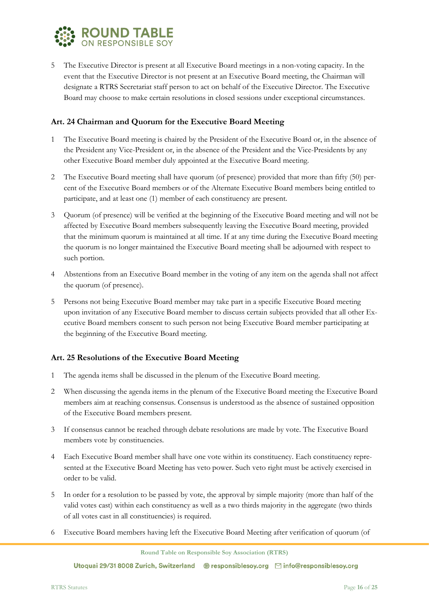

5 The Executive Director is present at all Executive Board meetings in a non-voting capacity. In the event that the Executive Director is not present at an Executive Board meeting, the Chairman will designate a RTRS Secretariat staff person to act on behalf of the Executive Director. The Executive Board may choose to make certain resolutions in closed sessions under exceptional circumstances.

#### <span id="page-15-0"></span>**Art. 24 Chairman and Quorum for the Executive Board Meeting**

- 1 The Executive Board meeting is chaired by the President of the Executive Board or, in the absence of the President any Vice-President or, in the absence of the President and the Vice-Presidents by any other Executive Board member duly appointed at the Executive Board meeting.
- 2 The Executive Board meeting shall have quorum (of presence) provided that more than fifty (50) percent of the Executive Board members or of the Alternate Executive Board members being entitled to participate, and at least one (1) member of each constituency are present.
- 3 Quorum (of presence) will be verified at the beginning of the Executive Board meeting and will not be affected by Executive Board members subsequently leaving the Executive Board meeting, provided that the minimum quorum is maintained at all time. If at any time during the Executive Board meeting the quorum is no longer maintained the Executive Board meeting shall be adjourned with respect to such portion.
- 4 Abstentions from an Executive Board member in the voting of any item on the agenda shall not affect the quorum (of presence).
- 5 Persons not being Executive Board member may take part in a specific Executive Board meeting upon invitation of any Executive Board member to discuss certain subjects provided that all other Executive Board members consent to such person not being Executive Board member participating at the beginning of the Executive Board meeting.

## <span id="page-15-1"></span>**Art. 25 Resolutions of the Executive Board Meeting**

- 1 The agenda items shall be discussed in the plenum of the Executive Board meeting.
- 2 When discussing the agenda items in the plenum of the Executive Board meeting the Executive Board members aim at reaching consensus. Consensus is understood as the absence of sustained opposition of the Executive Board members present.
- 3 If consensus cannot be reached through debate resolutions are made by vote. The Executive Board members vote by constituencies.
- 4 Each Executive Board member shall have one vote within its constituency. Each constituency represented at the Executive Board Meeting has veto power. Such veto right must be actively exercised in order to be valid.
- 5 In order for a resolution to be passed by vote, the approval by simple majority (more than half of the valid votes cast) within each constituency as well as a two thirds majority in the aggregate (two thirds of all votes cast in all constituencies) is required.
- 6 Executive Board members having left the Executive Board Meeting after verification of quorum (of

**Round Table on Responsible Soy Association (RTRS)**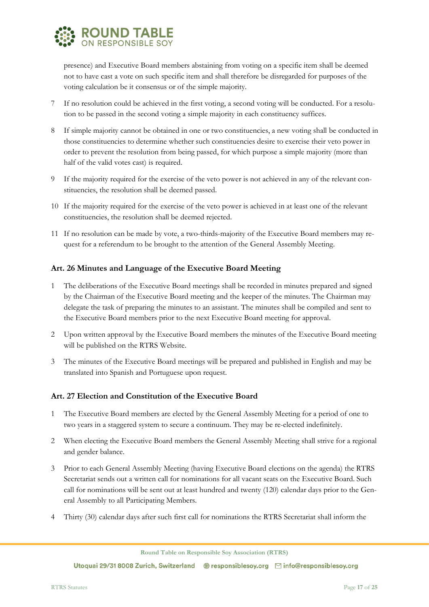

presence) and Executive Board members abstaining from voting on a specific item shall be deemed not to have cast a vote on such specific item and shall therefore be disregarded for purposes of the voting calculation be it consensus or of the simple majority.

- 7 If no resolution could be achieved in the first voting, a second voting will be conducted. For a resolution to be passed in the second voting a simple majority in each constituency suffices.
- 8 If simple majority cannot be obtained in one or two constituencies, a new voting shall be conducted in those constituencies to determine whether such constituencies desire to exercise their veto power in order to prevent the resolution from being passed, for which purpose a simple majority (more than half of the valid votes cast) is required.
- 9 If the majority required for the exercise of the veto power is not achieved in any of the relevant constituencies, the resolution shall be deemed passed.
- 10 If the majority required for the exercise of the veto power is achieved in at least one of the relevant constituencies, the resolution shall be deemed rejected.
- 11 If no resolution can be made by vote, a two-thirds-majority of the Executive Board members may request for a referendum to be brought to the attention of the General Assembly Meeting.

## <span id="page-16-0"></span>**Art. 26 Minutes and Language of the Executive Board Meeting**

- 1 The deliberations of the Executive Board meetings shall be recorded in minutes prepared and signed by the Chairman of the Executive Board meeting and the keeper of the minutes. The Chairman may delegate the task of preparing the minutes to an assistant. The minutes shall be compiled and sent to the Executive Board members prior to the next Executive Board meeting for approval.
- 2 Upon written approval by the Executive Board members the minutes of the Executive Board meeting will be published on the RTRS Website.
- 3 The minutes of the Executive Board meetings will be prepared and published in English and may be translated into Spanish and Portuguese upon request.

## <span id="page-16-1"></span>**Art. 27 Election and Constitution of the Executive Board**

- 1 The Executive Board members are elected by the General Assembly Meeting for a period of one to two years in a staggered system to secure a continuum. They may be re-elected indefinitely.
- 2 When electing the Executive Board members the General Assembly Meeting shall strive for a regional and gender balance.
- 3 Prior to each General Assembly Meeting (having Executive Board elections on the agenda) the RTRS Secretariat sends out a written call for nominations for all vacant seats on the Executive Board. Such call for nominations will be sent out at least hundred and twenty (120) calendar days prior to the General Assembly to all Participating Members.
- 4 Thirty (30) calendar days after such first call for nominations the RTRS Secretariat shall inform the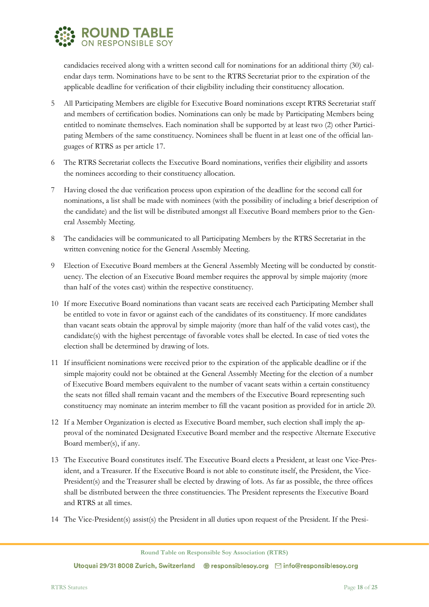

candidacies received along with a written second call for nominations for an additional thirty (30) calendar days term. Nominations have to be sent to the RTRS Secretariat prior to the expiration of the applicable deadline for verification of their eligibility including their constituency allocation.

- 5 All Participating Members are eligible for Executive Board nominations except RTRS Secretariat staff and members of certification bodies. Nominations can only be made by Participating Members being entitled to nominate themselves. Each nomination shall be supported by at least two (2) other Participating Members of the same constituency. Nominees shall be fluent in at least one of the official languages of RTRS as per article 17.
- 6 The RTRS Secretariat collects the Executive Board nominations, verifies their eligibility and assorts the nominees according to their constituency allocation.
- 7 Having closed the due verification process upon expiration of the deadline for the second call for nominations, a list shall be made with nominees (with the possibility of including a brief description of the candidate) and the list will be distributed amongst all Executive Board members prior to the General Assembly Meeting.
- 8 The candidacies will be communicated to all Participating Members by the RTRS Secretariat in the written convening notice for the General Assembly Meeting.
- 9 Election of Executive Board members at the General Assembly Meeting will be conducted by constituency. The election of an Executive Board member requires the approval by simple majority (more than half of the votes cast) within the respective constituency.
- 10 If more Executive Board nominations than vacant seats are received each Participating Member shall be entitled to vote in favor or against each of the candidates of its constituency. If more candidates than vacant seats obtain the approval by simple majority (more than half of the valid votes cast), the candidate(s) with the highest percentage of favorable votes shall be elected. In case of tied votes the election shall be determined by drawing of lots.
- 11 If insufficient nominations were received prior to the expiration of the applicable deadline or if the simple majority could not be obtained at the General Assembly Meeting for the election of a number of Executive Board members equivalent to the number of vacant seats within a certain constituency the seats not filled shall remain vacant and the members of the Executive Board representing such constituency may nominate an interim member to fill the vacant position as provided for in article 20.
- 12 If a Member Organization is elected as Executive Board member, such election shall imply the approval of the nominated Designated Executive Board member and the respective Alternate Executive Board member(s), if any.
- 13 The Executive Board constitutes itself. The Executive Board elects a President, at least one Vice-President, and a Treasurer. If the Executive Board is not able to constitute itself, the President, the Vice-President(s) and the Treasurer shall be elected by drawing of lots. As far as possible, the three offices shall be distributed between the three constituencies. The President represents the Executive Board and RTRS at all times.
- 14 The Vice-President(s) assist(s) the President in all duties upon request of the President. If the Presi-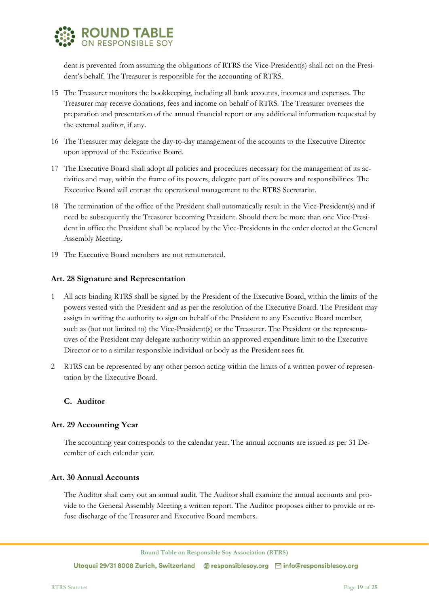

dent is prevented from assuming the obligations of RTRS the Vice-President(s) shall act on the President's behalf. The Treasurer is responsible for the accounting of RTRS.

- 15 The Treasurer monitors the bookkeeping, including all bank accounts, incomes and expenses. The Treasurer may receive donations, fees and income on behalf of RTRS. The Treasurer oversees the preparation and presentation of the annual financial report or any additional information requested by the external auditor, if any.
- 16 The Treasurer may delegate the day-to-day management of the accounts to the Executive Director upon approval of the Executive Board.
- 17 The Executive Board shall adopt all policies and procedures necessary for the management of its activities and may, within the frame of its powers, delegate part of its powers and responsibilities. The Executive Board will entrust the operational management to the RTRS Secretariat.
- 18 The termination of the office of the President shall automatically result in the Vice-President(s) and if need be subsequently the Treasurer becoming President. Should there be more than one Vice-President in office the President shall be replaced by the Vice-Presidents in the order elected at the General Assembly Meeting.
- <span id="page-18-0"></span>19 The Executive Board members are not remunerated.

#### **Art. 28 Signature and Representation**

- 1 All acts binding RTRS shall be signed by the President of the Executive Board, within the limits of the powers vested with the President and as per the resolution of the Executive Board. The President may assign in writing the authority to sign on behalf of the President to any Executive Board member, such as (but not limited to) the Vice-President(s) or the Treasurer. The President or the representatives of the President may delegate authority within an approved expenditure limit to the Executive Director or to a similar responsible individual or body as the President sees fit.
- 2 RTRS can be represented by any other person acting within the limits of a written power of representation by the Executive Board.

#### <span id="page-18-1"></span>**C. Auditor**

#### <span id="page-18-2"></span>**Art. 29 Accounting Year**

The accounting year corresponds to the calendar year. The annual accounts are issued as per 31 December of each calendar year.

#### <span id="page-18-3"></span>**Art. 30 Annual Accounts**

The Auditor shall carry out an annual audit. The Auditor shall examine the annual accounts and provide to the General Assembly Meeting a written report. The Auditor proposes either to provide or refuse discharge of the Treasurer and Executive Board members.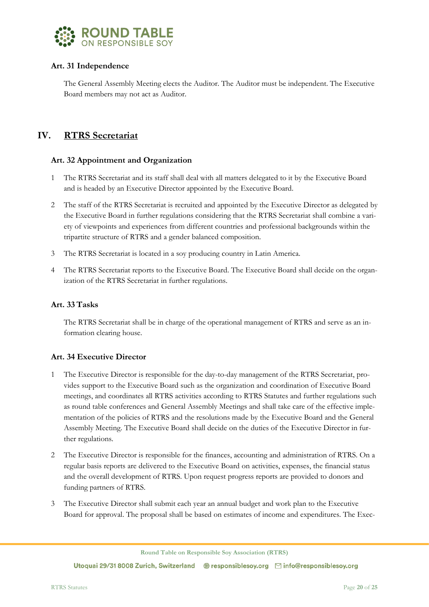

## <span id="page-19-0"></span>**Art. 31 Independence**

The General Assembly Meeting elects the Auditor. The Auditor must be independent. The Executive Board members may not act as Auditor.

## <span id="page-19-1"></span>**IV. RTRS Secretariat**

## <span id="page-19-2"></span>**Art. 32 Appointment and Organization**

- 1 The RTRS Secretariat and its staff shall deal with all matters delegated to it by the Executive Board and is headed by an Executive Director appointed by the Executive Board.
- 2 The staff of the RTRS Secretariat is recruited and appointed by the Executive Director as delegated by the Executive Board in further regulations considering that the RTRS Secretariat shall combine a variety of viewpoints and experiences from different countries and professional backgrounds within the tripartite structure of RTRS and a gender balanced composition.
- 3 The RTRS Secretariat is located in a soy producing country in Latin America.
- 4 The RTRS Secretariat reports to the Executive Board. The Executive Board shall decide on the organization of the RTRS Secretariat in further regulations.

#### <span id="page-19-3"></span>**Art. 33 Tasks**

The RTRS Secretariat shall be in charge of the operational management of RTRS and serve as an information clearing house.

## <span id="page-19-4"></span>**Art. 34 Executive Director**

- 1 The Executive Director is responsible for the day-to-day management of the RTRS Secretariat, provides support to the Executive Board such as the organization and coordination of Executive Board meetings, and coordinates all RTRS activities according to RTRS Statutes and further regulations such as round table conferences and General Assembly Meetings and shall take care of the effective implementation of the policies of RTRS and the resolutions made by the Executive Board and the General Assembly Meeting. The Executive Board shall decide on the duties of the Executive Director in further regulations.
- 2 The Executive Director is responsible for the finances, accounting and administration of RTRS. On a regular basis reports are delivered to the Executive Board on activities, expenses, the financial status and the overall development of RTRS. Upon request progress reports are provided to donors and funding partners of RTRS.
- 3 The Executive Director shall submit each year an annual budget and work plan to the Executive Board for approval. The proposal shall be based on estimates of income and expenditures. The Exec-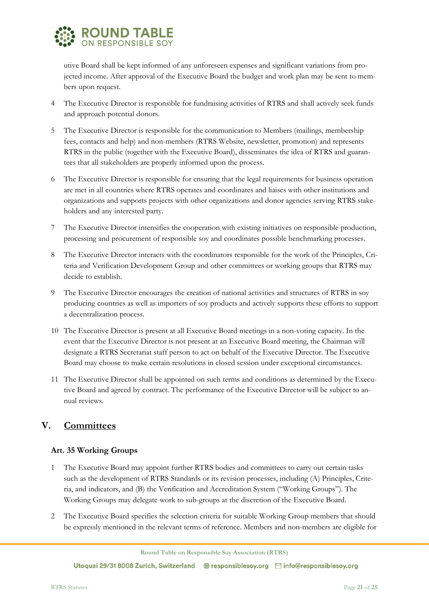

utive Board shall be kept informed of any unforeseen expenses and significant variations from projected income. After approval of the Executive Board the budget and work plan may be sent to members upon request.

- 4 The Executive Director is responsible for fundraising activities of RTRS and shall actively seek funds and approach potential donors.
- 5 The Executive Director is responsible for the communication to Members (mailings, membership fees, contacts and help) and non-members (RTRS Website, newsletter, promotion) and represents RTRS in the public (together with the Executive Board), disseminates the idea of RTRS and guarantees that all stakeholders are properly informed upon the process.
- 6 The Executive Director is responsible for ensuring that the legal requirements for business operation are met in all countries where RTRS operates and coordinates and liaises with other institutions and organizations and supports projects with other organizations and donor agencies serving RTRS stakeholders and any interested party.
- 7 The Executive Director intensifies the cooperation with existing initiatives on responsible production, processing and procurement of responsible soy and coordinates possible benchmarking processes.
- 8 The Executive Director interacts with the coordinators responsible for the work of the Principles, Criteria and Verification Development Group and other committees or working groups that RTRS may decide to establish.
- 9 The Executive Director encourages the creation of national activities and structures of RTRS in soy producing countries as well as importers of soy products and actively supports these efforts to support a decentralization process.
- 10 The Executive Director is present at all Executive Board meetings in a non-voting capacity. In the event that the Executive Director is not present at an Executive Board meeting, the Chairman will designate a RTRS Secretariat staff person to act on behalf of the Executive Director. The Executive Board may choose to make certain resolutions in closed session under exceptional circumstances.
- 11 The Executive Director shall be appointed on such terms and conditions as determined by the Executive Board and agreed by contract. The performance of the Executive Director will be subject to annual reviews.

# <span id="page-20-0"></span>**V. Committees**

## <span id="page-20-1"></span>**Art. 35 Working Groups**

- 1 The Executive Board may appoint further RTRS bodies and committees to carry out certain tasks such as the development of RTRS Standards or its revision processes, including (A) Principles, Criteria, and indicators, and (B) the Verification and Accreditation System ("Working Groups"). The Working Groups may delegate work to sub-groups at the discretion of the Executive Board.
- 2 The Executive Board specifies the selection criteria for suitable Working Group members that should be expressly mentioned in the relevant terms of reference. Members and non-members are eligible for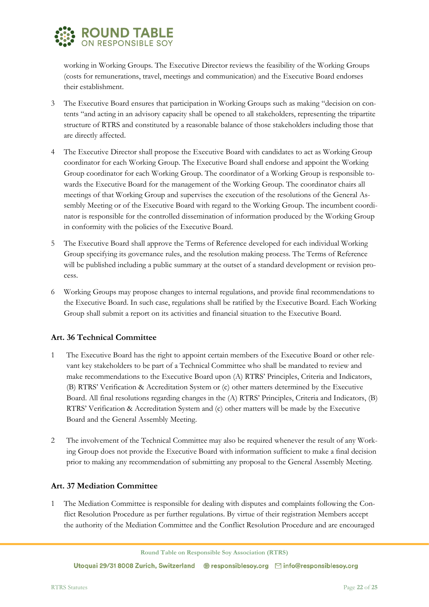

working in Working Groups. The Executive Director reviews the feasibility of the Working Groups (costs for remunerations, travel, meetings and communication) and the Executive Board endorses their establishment.

- 3 The Executive Board ensures that participation in Working Groups such as making "decision on contents "and acting in an advisory capacity shall be opened to all stakeholders, representing the tripartite structure of RTRS and constituted by a reasonable balance of those stakeholders including those that are directly affected.
- The Executive Director shall propose the Executive Board with candidates to act as Working Group coordinator for each Working Group. The Executive Board shall endorse and appoint the Working Group coordinator for each Working Group. The coordinator of a Working Group is responsible towards the Executive Board for the management of the Working Group. The coordinator chairs all meetings of that Working Group and supervises the execution of the resolutions of the General Assembly Meeting or of the Executive Board with regard to the Working Group. The incumbent coordinator is responsible for the controlled dissemination of information produced by the Working Group in conformity with the policies of the Executive Board.
- 5 The Executive Board shall approve the Terms of Reference developed for each individual Working Group specifying its governance rules, and the resolution making process. The Terms of Reference will be published including a public summary at the outset of a standard development or revision process.
- 6 Working Groups may propose changes to internal regulations, and provide final recommendations to the Executive Board. In such case, regulations shall be ratified by the Executive Board. Each Working Group shall submit a report on its activities and financial situation to the Executive Board.

## <span id="page-21-0"></span>**Art. 36 Technical Committee**

- 1 The Executive Board has the right to appoint certain members of the Executive Board or other relevant key stakeholders to be part of a Technical Committee who shall be mandated to review and make recommendations to the Executive Board upon (A) RTRS' Principles, Criteria and Indicators, (B) RTRS' Verification & Accreditation System or (c) other matters determined by the Executive Board. All final resolutions regarding changes in the (A) RTRS' Principles, Criteria and Indicators, (B) RTRS' Verification & Accreditation System and (c) other matters will be made by the Executive Board and the General Assembly Meeting.
- 2 The involvement of the Technical Committee may also be required whenever the result of any Working Group does not provide the Executive Board with information sufficient to make a final decision prior to making any recommendation of submitting any proposal to the General Assembly Meeting.

## <span id="page-21-1"></span>**Art. 37 Mediation Committee**

1 The Mediation Committee is responsible for dealing with disputes and complaints following the Conflict Resolution Procedure as per further regulations. By virtue of their registration Members accept the authority of the Mediation Committee and the Conflict Resolution Procedure and are encouraged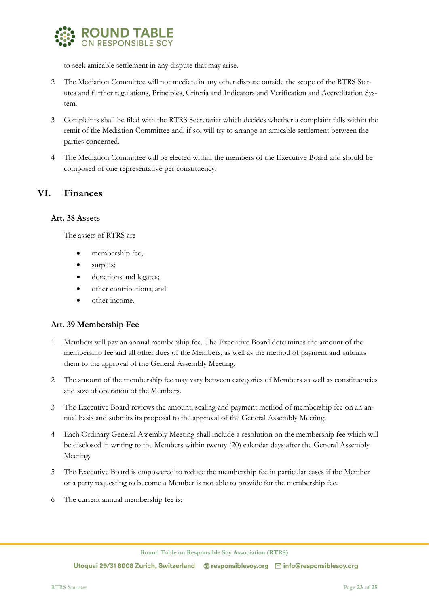

to seek amicable settlement in any dispute that may arise.

- 2 The Mediation Committee will not mediate in any other dispute outside the scope of the RTRS Statutes and further regulations, Principles, Criteria and Indicators and Verification and Accreditation System.
- 3 Complaints shall be filed with the RTRS Secretariat which decides whether a complaint falls within the remit of the Mediation Committee and, if so, will try to arrange an amicable settlement between the parties concerned.
- 4 The Mediation Committee will be elected within the members of the Executive Board and should be composed of one representative per constituency.

## <span id="page-22-0"></span>**VI. Finances**

#### <span id="page-22-1"></span>**Art. 38 Assets**

The assets of RTRS are

- membership fee;
- surplus;
- donations and legates;
- other contributions; and
- other income.

## <span id="page-22-2"></span>**Art. 39 Membership Fee**

- 1 Members will pay an annual membership fee. The Executive Board determines the amount of the membership fee and all other dues of the Members, as well as the method of payment and submits them to the approval of the General Assembly Meeting.
- 2 The amount of the membership fee may vary between categories of Members as well as constituencies and size of operation of the Members.
- 3 The Executive Board reviews the amount, scaling and payment method of membership fee on an annual basis and submits its proposal to the approval of the General Assembly Meeting.
- 4 Each Ordinary General Assembly Meeting shall include a resolution on the membership fee which will be disclosed in writing to the Members within twenty (20) calendar days after the General Assembly Meeting.
- 5 The Executive Board is empowered to reduce the membership fee in particular cases if the Member or a party requesting to become a Member is not able to provide for the membership fee.
- 6 The current annual membership fee is: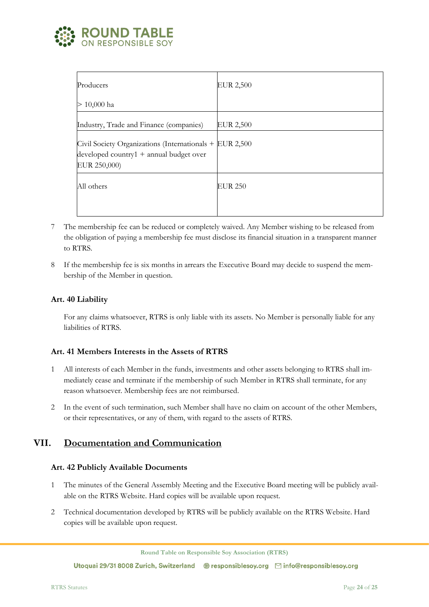

| Producers                                                                                                             | <b>EUR 2,500</b> |
|-----------------------------------------------------------------------------------------------------------------------|------------------|
| $> 10,000$ ha                                                                                                         |                  |
| Industry, Trade and Finance (companies)                                                                               | <b>EUR 2,500</b> |
| Civil Society Organizations (Internationals + EUR 2,500<br>developed country $1 +$ annual budget over<br>EUR 250,000) |                  |
| All others                                                                                                            | <b>EUR 250</b>   |
|                                                                                                                       |                  |

- 7 The membership fee can be reduced or completely waived. Any Member wishing to be released from the obligation of paying a membership fee must disclose its financial situation in a transparent manner to RTRS.
- 8 If the membership fee is six months in arrears the Executive Board may decide to suspend the membership of the Member in question.

## <span id="page-23-0"></span>**Art. 40 Liability**

For any claims whatsoever, RTRS is only liable with its assets. No Member is personally liable for any liabilities of RTRS.

#### <span id="page-23-1"></span>**Art. 41 Members Interests in the Assets of RTRS**

- 1 All interests of each Member in the funds, investments and other assets belonging to RTRS shall immediately cease and terminate if the membership of such Member in RTRS shall terminate, for any reason whatsoever. Membership fees are not reimbursed.
- <span id="page-23-2"></span>2 In the event of such termination, such Member shall have no claim on account of the other Members, or their representatives, or any of them, with regard to the assets of RTRS.

## **VII. Documentation and Communication**

#### <span id="page-23-3"></span>**Art. 42 Publicly Available Documents**

- 1 The minutes of the General Assembly Meeting and the Executive Board meeting will be publicly available on the RTRS Website. Hard copies will be available upon request.
- 2 Technical documentation developed by RTRS will be publicly available on the RTRS Website. Hard copies will be available upon request.